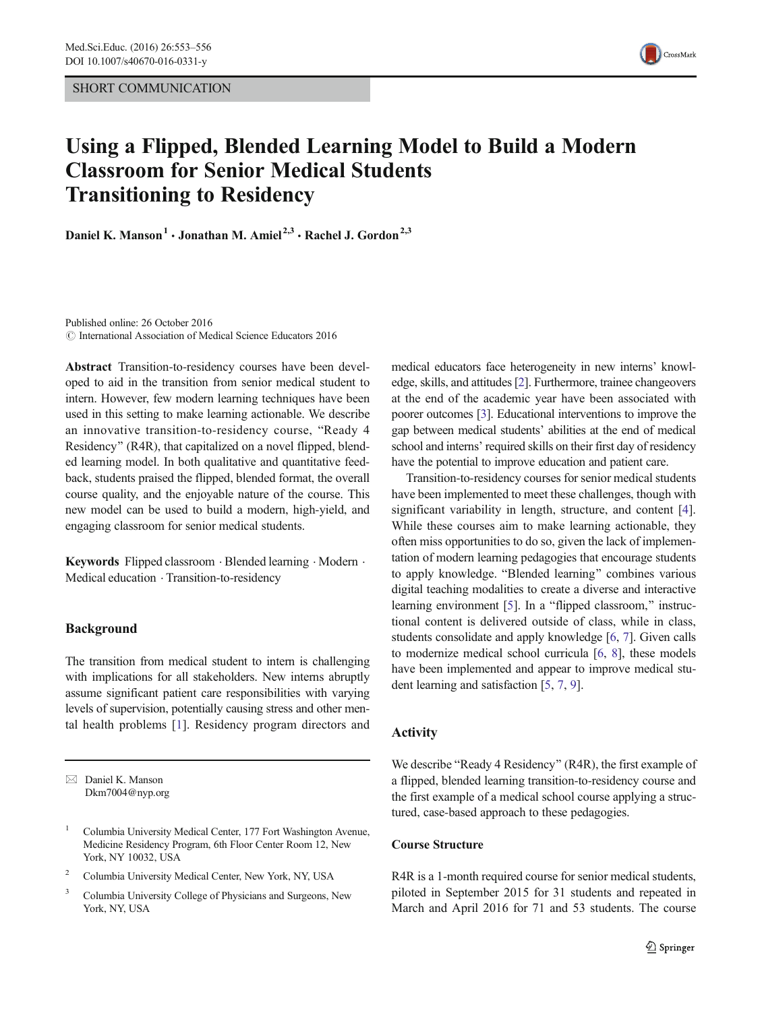

# Using a Flipped, Blended Learning Model to Build a Modern Classroom for Senior Medical Students Transitioning to Residency

Daniel K. Manson<sup>1</sup> · Jonathan M. Amiel<sup>2,3</sup> · Rachel J. Gordon<sup>2,3</sup>

Published online: 26 October 2016  $\odot$  International Association of Medical Science Educators 2016

Abstract Transition-to-residency courses have been developed to aid in the transition from senior medical student to intern. However, few modern learning techniques have been used in this setting to make learning actionable. We describe an innovative transition-to-residency course, "Ready 4 Residency" (R4R), that capitalized on a novel flipped, blended learning model. In both qualitative and quantitative feedback, students praised the flipped, blended format, the overall course quality, and the enjoyable nature of the course. This new model can be used to build a modern, high-yield, and engaging classroom for senior medical students.

Keywords Flipped classroom . Blended learning . Modern . Medical education . Transition-to-residency

# Background

The transition from medical student to intern is challenging with implications for all stakeholders. New interns abruptly assume significant patient care responsibilities with varying levels of supervision, potentially causing stress and other mental health problems [[1\]](#page-3-0). Residency program directors and

- <sup>2</sup> Columbia University Medical Center, New York, NY, USA
- <sup>3</sup> Columbia University College of Physicians and Surgeons, New York, NY, USA

medical educators face heterogeneity in new interns' knowledge, skills, and attitudes [\[2](#page-3-0)]. Furthermore, trainee changeovers at the end of the academic year have been associated with poorer outcomes [[3](#page-3-0)]. Educational interventions to improve the gap between medical students' abilities at the end of medical school and interns' required skills on their first day of residency have the potential to improve education and patient care.

Transition-to-residency courses for senior medical students have been implemented to meet these challenges, though with significant variability in length, structure, and content [[4\]](#page-3-0). While these courses aim to make learning actionable, they often miss opportunities to do so, given the lack of implementation of modern learning pedagogies that encourage students to apply knowledge. "Blended learning" combines various digital teaching modalities to create a diverse and interactive learning environment  $[5]$  $[5]$ . In a "flipped classroom," instructional content is delivered outside of class, while in class, students consolidate and apply knowledge [\[6,](#page-3-0) [7\]](#page-3-0). Given calls to modernize medical school curricula [\[6,](#page-3-0) [8](#page-3-0)], these models have been implemented and appear to improve medical student learning and satisfaction [[5,](#page-3-0) [7,](#page-3-0) [9\]](#page-3-0).

# Activity

We describe "Ready 4 Residency" (R4R), the first example of a flipped, blended learning transition-to-residency course and the first example of a medical school course applying a structured, case-based approach to these pedagogies.

#### Course Structure

R4R is a 1-month required course for senior medical students, piloted in September 2015 for 31 students and repeated in March and April 2016 for 71 and 53 students. The course

 $\boxtimes$  Daniel K. Manson Dkm7004@nyp.org

<sup>1</sup> Columbia University Medical Center, 177 Fort Washington Avenue, Medicine Residency Program, 6th Floor Center Room 12, New York, NY 10032, USA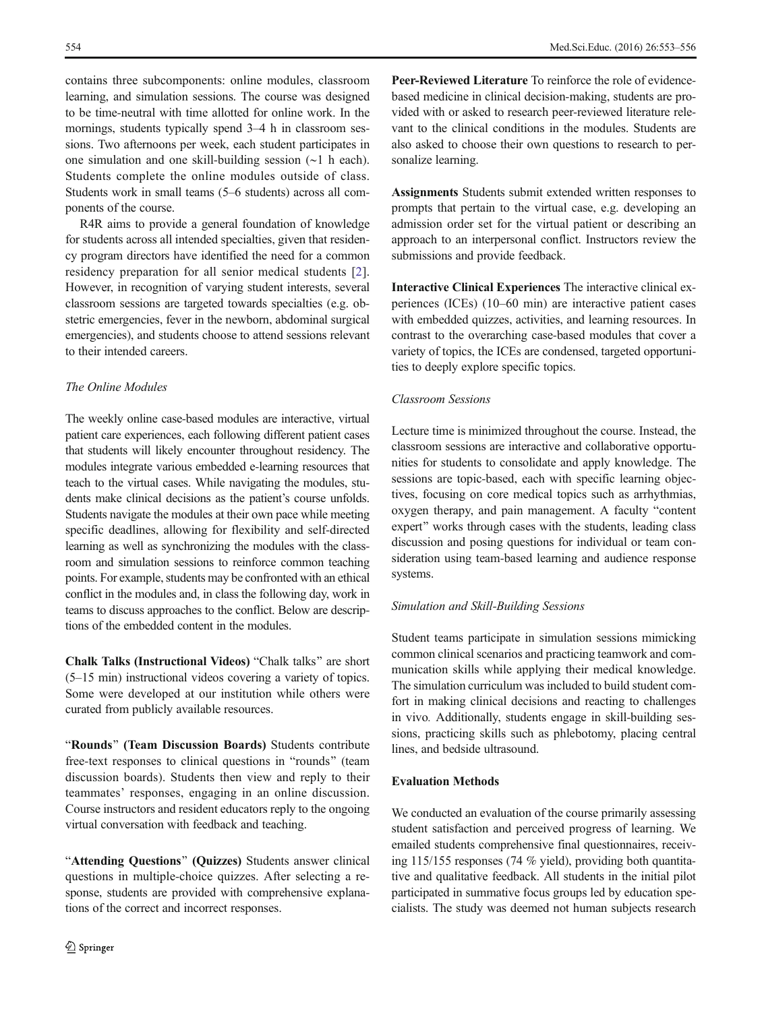contains three subcomponents: online modules, classroom learning, and simulation sessions. The course was designed to be time-neutral with time allotted for online work. In the mornings, students typically spend 3–4 h in classroom sessions. Two afternoons per week, each student participates in one simulation and one skill-building session (∼1 h each). Students complete the online modules outside of class. Students work in small teams (5–6 students) across all components of the course.

R4R aims to provide a general foundation of knowledge for students across all intended specialties, given that residency program directors have identified the need for a common residency preparation for all senior medical students [\[2](#page-3-0)]. However, in recognition of varying student interests, several classroom sessions are targeted towards specialties (e.g. obstetric emergencies, fever in the newborn, abdominal surgical emergencies), and students choose to attend sessions relevant to their intended careers.

# The Online Modules

The weekly online case-based modules are interactive, virtual patient care experiences, each following different patient cases that students will likely encounter throughout residency. The modules integrate various embedded e-learning resources that teach to the virtual cases. While navigating the modules, students make clinical decisions as the patient's course unfolds. Students navigate the modules at their own pace while meeting specific deadlines, allowing for flexibility and self-directed learning as well as synchronizing the modules with the classroom and simulation sessions to reinforce common teaching points. For example, students may be confronted with an ethical conflict in the modules and, in class the following day, work in teams to discuss approaches to the conflict. Below are descriptions of the embedded content in the modules.

Chalk Talks (Instructional Videos) "Chalk talks" are short (5–15 min) instructional videos covering a variety of topics. Some were developed at our institution while others were curated from publicly available resources.

"Rounds" (Team Discussion Boards) Students contribute free-text responses to clinical questions in "rounds" (team discussion boards). Students then view and reply to their teammates' responses, engaging in an online discussion. Course instructors and resident educators reply to the ongoing virtual conversation with feedback and teaching.

"Attending Questions" (Quizzes) Students answer clinical questions in multiple-choice quizzes. After selecting a response, students are provided with comprehensive explanations of the correct and incorrect responses.

Peer-Reviewed Literature To reinforce the role of evidencebased medicine in clinical decision-making, students are provided with or asked to research peer-reviewed literature relevant to the clinical conditions in the modules. Students are also asked to choose their own questions to research to personalize learning.

Assignments Students submit extended written responses to prompts that pertain to the virtual case, e.g. developing an admission order set for the virtual patient or describing an approach to an interpersonal conflict. Instructors review the submissions and provide feedback.

Interactive Clinical Experiences The interactive clinical experiences (ICEs) (10–60 min) are interactive patient cases with embedded quizzes, activities, and learning resources. In contrast to the overarching case-based modules that cover a variety of topics, the ICEs are condensed, targeted opportunities to deeply explore specific topics.

#### Classroom Sessions

Lecture time is minimized throughout the course. Instead, the classroom sessions are interactive and collaborative opportunities for students to consolidate and apply knowledge. The sessions are topic-based, each with specific learning objectives, focusing on core medical topics such as arrhythmias, oxygen therapy, and pain management. A faculty "content expert" works through cases with the students, leading class discussion and posing questions for individual or team consideration using team-based learning and audience response systems.

# Simulation and Skill-Building Sessions

Student teams participate in simulation sessions mimicking common clinical scenarios and practicing teamwork and communication skills while applying their medical knowledge. The simulation curriculum was included to build student comfort in making clinical decisions and reacting to challenges in vivo. Additionally, students engage in skill-building sessions, practicing skills such as phlebotomy, placing central lines, and bedside ultrasound.

## Evaluation Methods

We conducted an evaluation of the course primarily assessing student satisfaction and perceived progress of learning. We emailed students comprehensive final questionnaires, receiving 115/155 responses (74 % yield), providing both quantitative and qualitative feedback. All students in the initial pilot participated in summative focus groups led by education specialists. The study was deemed not human subjects research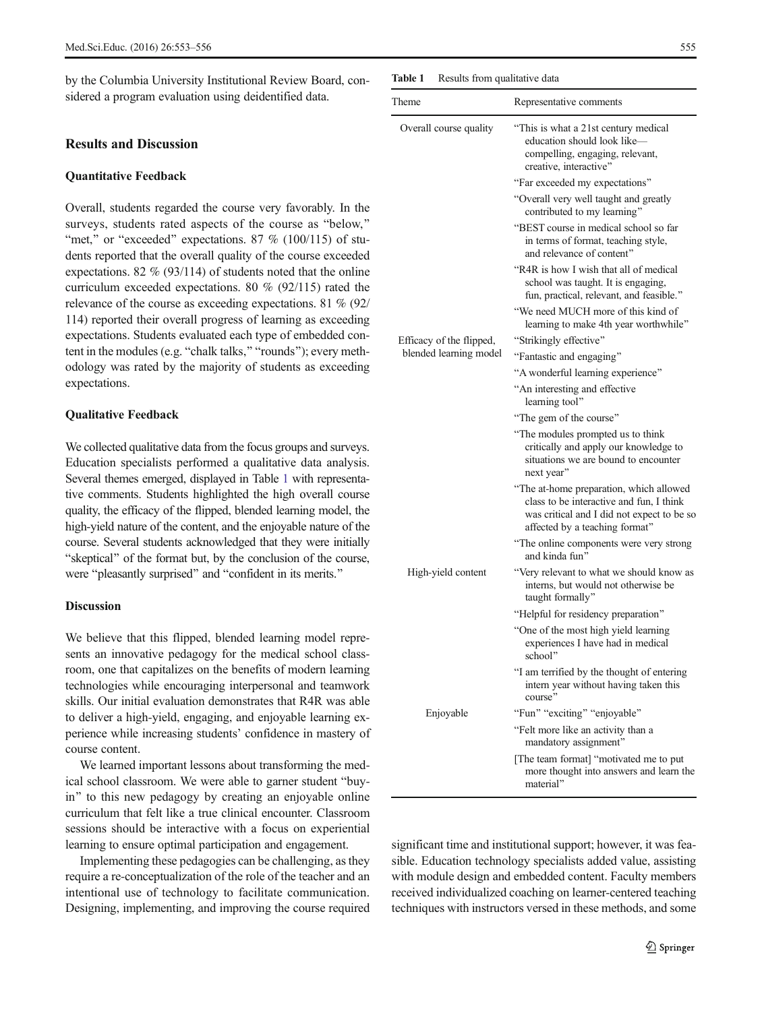by the Columbia University Institutional Review Board, considered a program evaluation using deidentified data.

#### Results and Discussion

## Quantitative Feedback

Overall, students regarded the course very favorably. In the surveys, students rated aspects of the course as "below," "met," or "exceeded" expectations. 87 % (100/115) of students reported that the overall quality of the course exceeded expectations. 82 % (93/114) of students noted that the online curriculum exceeded expectations. 80 % (92/115) rated the relevance of the course as exceeding expectations. 81 % (92/ 114) reported their overall progress of learning as exceeding expectations. Students evaluated each type of embedded content in the modules (e.g. "chalk talks," "rounds"); every methodology was rated by the majority of students as exceeding expectations.

#### Qualitative Feedback

We collected qualitative data from the focus groups and surveys. Education specialists performed a qualitative data analysis. Several themes emerged, displayed in Table 1 with representative comments. Students highlighted the high overall course quality, the efficacy of the flipped, blended learning model, the high-yield nature of the content, and the enjoyable nature of the course. Several students acknowledged that they were initially "skeptical" of the format but, by the conclusion of the course, were "pleasantly surprised" and "confident in its merits."

#### **Discussion**

We believe that this flipped, blended learning model represents an innovative pedagogy for the medical school classroom, one that capitalizes on the benefits of modern learning technologies while encouraging interpersonal and teamwork skills. Our initial evaluation demonstrates that R4R was able to deliver a high-yield, engaging, and enjoyable learning experience while increasing students' confidence in mastery of course content.

We learned important lessons about transforming the medical school classroom. We were able to garner student "buyin" to this new pedagogy by creating an enjoyable online curriculum that felt like a true clinical encounter. Classroom sessions should be interactive with a focus on experiential learning to ensure optimal participation and engagement.

Implementing these pedagogies can be challenging, as they require a re-conceptualization of the role of the teacher and an intentional use of technology to facilitate communication. Designing, implementing, and improving the course required Table 1 Results from qualitative data

| Theme                                                                        | Representative comments                                                                                                                                             |
|------------------------------------------------------------------------------|---------------------------------------------------------------------------------------------------------------------------------------------------------------------|
| Overall course quality<br>Efficacy of the flipped,<br>blended learning model | "This is what a 21st century medical"<br>education should look like-<br>compelling, engaging, relevant,<br>creative, interactive"                                   |
|                                                                              | "Far exceeded my expectations"                                                                                                                                      |
|                                                                              | "Overall very well taught and greatly<br>contributed to my learning"                                                                                                |
|                                                                              | "BEST course in medical school so far<br>in terms of format, teaching style,<br>and relevance of content"                                                           |
|                                                                              | "R4R is how I wish that all of medical"<br>school was taught. It is engaging,<br>fun, practical, relevant, and feasible."                                           |
|                                                                              | "We need MUCH more of this kind of<br>learning to make 4th year worthwhile"                                                                                         |
|                                                                              | "Strikingly effective"                                                                                                                                              |
|                                                                              | "Fantastic and engaging"                                                                                                                                            |
|                                                                              | "A wonderful learning experience"                                                                                                                                   |
|                                                                              | "An interesting and effective<br>learning tool"                                                                                                                     |
|                                                                              | "The gem of the course"                                                                                                                                             |
|                                                                              | "The modules prompted us to think<br>critically and apply our knowledge to<br>situations we are bound to encounter<br>next year"                                    |
|                                                                              | "The at-home preparation, which allowed<br>class to be interactive and fun, I think<br>was critical and I did not expect to be so<br>affected by a teaching format" |
|                                                                              | "The online components were very strong<br>and kinda fun"                                                                                                           |
| High-yield content                                                           | "Very relevant to what we should know as<br>interns, but would not otherwise be<br>taught formally"                                                                 |
|                                                                              | "Helpful for residency preparation"                                                                                                                                 |
|                                                                              | "One of the most high yield learning<br>experiences I have had in medical<br>school"                                                                                |
|                                                                              | "I am terrified by the thought of entering<br>intern year without having taken this<br>course"                                                                      |
| Enjoyable                                                                    | "Fun" "exciting" "enjoyable"                                                                                                                                        |
|                                                                              | "Felt more like an activity than a<br>mandatory assignment"                                                                                                         |
|                                                                              | [The team format] "motivated me to put<br>more thought into answers and learn the<br>material"                                                                      |

significant time and institutional support; however, it was feasible. Education technology specialists added value, assisting with module design and embedded content. Faculty members received individualized coaching on learner-centered teaching techniques with instructors versed in these methods, and some